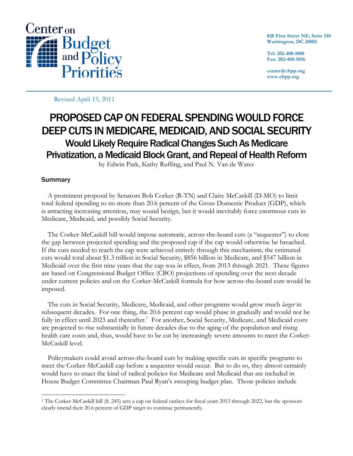

**820 First Street NE, Suite 510 Washington, DC 20002** 

**Tel: 202-408-1080 Fax: 202-408-1056** 

**center@cbpp.org www.cbpp.org** 

Revised April 15, 2011

# PROPOSED CAP ON FEDERAL SPENDING WOULD FORCE DEEP CUTS IN MEDICARE, MEDICAID, AND SOCIAL SECURITY Would Likely Require Radical Changes Such As Medicare Privatization, a Medicaid Block Grant, and Repeal of Health Reform

by Edwin Park, Kathy Ruffing, and Paul N. Van de Water

# Summary

-

 A prominent proposal by Senators Bob Corker (R-TN) and Claire McCaskill (D-MO) to limit total federal spending to no more than 20.6 percent of the Gross Domestic Product (GDP), which is attracting increasing attention, may sound benign, but it would inevitably force enormous cuts in Medicare, Medicaid, and possibly Social Security.

 The Corker-McCaskill bill would impose automatic, across-the-board cuts (a "sequester") to close the gap between projected spending and the proposed cap if the cap would otherwise be breached. If the cuts needed to reach the cap were achieved entirely through this mechanism, the estimated cuts would total about \$1.3 trillion in Social Security, \$856 billion in Medicare, and \$547 billion in Medicaid over the first nine years that the cap was in effect, from 2013 through 2021. These figures are based on Congressional Budget Office (CBO) projections of spending over the next decade under current policies and on the Corker-McCaskill formula for how across-the-board cuts would be imposed.

 The cuts in Social Security, Medicare, Medicaid, and other programs would grow much *larger* in subsequent decades. For one thing, the 20.6 percent cap would phase in gradually and would not be fully in effect until 2023 and thereafter.<sup>1</sup> For another, Social Security, Medicare, and Medicaid costs are projected to rise substantially in future decades due to the aging of the population and rising health care costs and, thus, would have to be cut by increasingly severe amounts to meet the Corker-McCaskill level.

 Policymakers could avoid across-the-board cuts by making specific cuts in specific programs to meet the Corker-McCaskill cap before a sequester would occur. But to do so, they almost certainly would have to enact the kind of radical policies for Medicare and Medicaid that are included in House Budget Committee Chairman Paul Ryan's sweeping budget plan. Those policies include

<sup>1</sup> The Corker-McCaskill bill (S. 245) sets a cap on federal outlays for fiscal years 2013 through 2022, but the sponsors clearly intend their 20.6 percent of GDP target to continue permanently.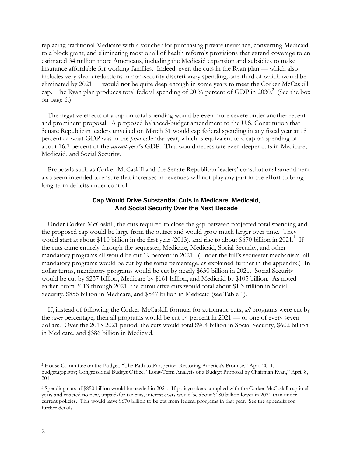replacing traditional Medicare with a voucher for purchasing private insurance, converting Medicaid to a block grant, and eliminating most or all of health reform's provisions that extend coverage to an estimated 34 million more Americans, including the Medicaid expansion and subsidies to make insurance affordable for working families. Indeed, even the cuts in the Ryan plan — which also includes very sharp reductions in non-security discretionary spending, one-third of which would be eliminated by 2021 — would not be quite deep enough in some years to meet the Corker-McCaskill cap. The Ryan plan produces total federal spending of 20  $\frac{3}{4}$  percent of GDP in 2030.<sup>2</sup> (See the box on page 6.)

 The negative effects of a cap on total spending would be even more severe under another recent and prominent proposal. A proposed balanced-budget amendment to the U.S. Constitution that Senate Republican leaders unveiled on March 31 would cap federal spending in any fiscal year at 18 percent of what GDP was in the *prior* calendar year, which is equivalent to a cap on spending of about 16.7 percent of the *current* year's GDP. That would necessitate even deeper cuts in Medicare, Medicaid, and Social Security.

 Proposals such as Corker-McCaskill and the Senate Republican leaders' constitutional amendment also seem intended to ensure that increases in revenues will not play any part in the effort to bring long-term deficits under control.

### Cap Would Drive Substantial Cuts in Medicare, Medicaid, And Social Security Over the Next Decade

 Under Corker-McCaskill, the cuts required to close the gap between projected total spending and the proposed cap would be large from the outset and would grow much larger over time. They would start at about \$110 billion in the first year (2013), and rise to about \$670 billion in 2021.<sup>3</sup> If the cuts came entirely through the sequester, Medicare, Medicaid, Social Security, and other mandatory programs all would be cut 19 percent in 2021. (Under the bill's sequester mechanism, all mandatory programs would be cut by the same percentage, as explained further in the appendix.) In dollar terms, mandatory programs would be cut by nearly \$630 billion in 2021. Social Security would be cut by \$237 billion, Medicare by \$161 billion, and Medicaid by \$105 billion. As noted earlier, from 2013 through 2021, the cumulative cuts would total about \$1.3 trillion in Social Security, \$856 billion in Medicare, and \$547 billion in Medicaid (see Table 1).

If, instead of following the Corker-McCaskill formula for automatic cuts, *all* programs were cut by the *same* percentage, then all programs would be cut 14 percent in 2021 — or one of every seven dollars. Over the 2013-2021 period, the cuts would total \$904 billion in Social Security, \$602 billion in Medicare, and \$386 billion in Medicaid.

<sup>2</sup> House Committee on the Budget, "The Path to Prosperity: Restoring America's Promise," April 2011, budget.gop.gov; Congressional Budget Office, "Long-Term Analysis of a Budget Proposal by Chairman Ryan," April 8, 2011.

<sup>3</sup> Spending cuts of \$850 billion would be needed in 2021. If policymakers complied with the Corker-McCaskill cap in all years and enacted no new, unpaid-for tax cuts, interest costs would be about \$180 billion lower in 2021 than under current policies. This would leave \$670 billion to be cut from federal programs in that year. See the appendix for further details.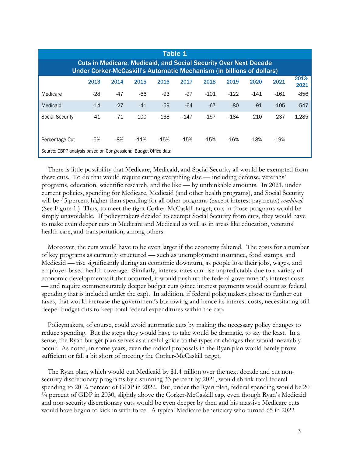| Table 1                                                                                                                                          |       |       |        |        |        |        |        |        |        |               |  |  |
|--------------------------------------------------------------------------------------------------------------------------------------------------|-------|-------|--------|--------|--------|--------|--------|--------|--------|---------------|--|--|
| <b>Cuts in Medicare, Medicaid, and Social Security Over Next Decade</b><br>Under Corker-McCaskill's Automatic Mechanism (in billions of dollars) |       |       |        |        |        |        |        |        |        |               |  |  |
|                                                                                                                                                  | 2013  | 2014  | 2015   | 2016   | 2017   | 2018   | 2019   | 2020   | 2021   | 2013-<br>2021 |  |  |
| Medicare                                                                                                                                         | $-28$ | $-47$ | $-66$  | -93    | $-97$  | $-101$ | $-122$ | $-141$ | $-161$ | $-856$        |  |  |
| Medicaid                                                                                                                                         | $-14$ | $-27$ | $-41$  | $-59$  | $-64$  | $-67$  | $-80$  | $-91$  | $-105$ | $-547$        |  |  |
| <b>Social Security</b>                                                                                                                           | $-41$ | $-71$ | $-100$ | $-138$ | $-147$ | $-157$ | -184   | $-210$ | $-237$ | $-1,285$      |  |  |
| Percentage Cut                                                                                                                                   | -5%   | -8%   | $-11%$ | $-15%$ | $-15%$ | $-15%$ | $-16%$ | $-18%$ | $-19%$ |               |  |  |
| Source: CBPP analysis based on Congressional Budget Office data.                                                                                 |       |       |        |        |        |        |        |        |        |               |  |  |

 There is little possibility that Medicare, Medicaid, and Social Security all would be exempted from these cuts. To do that would require cutting everything else — including defense, veterans' programs, education, scientific research, and the like — by unthinkable amounts. In 2021, under current policies, spending for Medicare, Medicaid (and other health programs), and Social Security will be 45 percent higher than spending for all other programs (except interest payments) *combined*. (See Figure 1.) Thus, to meet the tight Corker-McCaskill target, cuts in those programs would be simply unavoidable. If policymakers decided to exempt Social Security from cuts, they would have to make even deeper cuts in Medicare and Medicaid as well as in areas like education, veterans' health care, and transportation, among others.

 Moreover, the cuts would have to be even larger if the economy faltered. The costs for a number of key programs as currently structured — such as unemployment insurance, food stamps, and Medicaid — rise significantly during an economic downturn, as people lose their jobs, wages, and employer-based health coverage. Similarly, interest rates can rise unpredictably due to a variety of economic developments; if that occurred, it would push up the federal government's interest costs — and require commensurately deeper budget cuts (since interest payments would count as federal spending that is included under the cap). In addition, if federal policymakers chose to further cut taxes, that would increase the government's borrowing and hence its interest costs, necessitating still deeper budget cuts to keep total federal expenditures within the cap.

 Policymakers, of course, could avoid automatic cuts by making the necessary policy changes to reduce spending. But the steps they would have to take would be dramatic, to say the least. In a sense, the Ryan budget plan serves as a useful guide to the types of changes that would inevitably occur. As noted, in some years, even the radical proposals in the Ryan plan would barely prove sufficient or fall a bit short of meeting the Corker-McCaskill target.

 The Ryan plan, which would cut Medicaid by \$1.4 trillion over the next decade and cut nonsecurity discretionary programs by a stunning 33 percent by 2021, would shrink total federal spending to 20  $\frac{1}{4}$  percent of GDP in 2022. But, under the Ryan plan, federal spending would be 20 ¾ percent of GDP in 2030, slightly above the Corker-McCaskill cap, even though Ryan's Medicaid and non-security discretionary cuts would be even deeper by then and his massive Medicare cuts would have begun to kick in with force. A typical Medicare beneficiary who turned 65 in 2022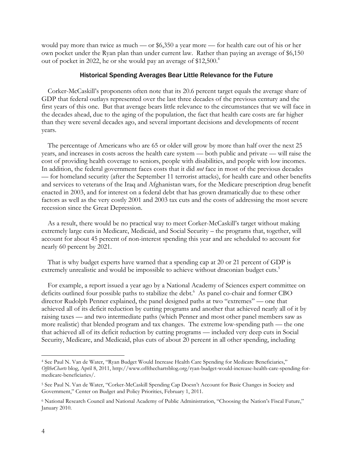would pay more than twice as much — or \$6,350 a year more — for health care out of his or her own pocket under the Ryan plan than under current law. Rather than paying an average of \$6,150 out of pocket in 2022, he or she would pay an average of \$12,500.<sup>4</sup>

#### Historical Spending Averages Bear Little Relevance for the Future

 Corker-McCaskill's proponents often note that its 20.6 percent target equals the average share of GDP that federal outlays represented over the last three decades of the previous century and the first years of this one. But that average bears little relevance to the circumstances that we will face in the decades ahead, due to the aging of the population, the fact that health care costs are far higher than they were several decades ago, and several important decisions and developments of recent years.

 The percentage of Americans who are 65 or older will grow by more than half over the next 25 years, and increases in costs across the health care system — both public and private — will raise the cost of providing health coverage to seniors, people with disabilities, and people with low incomes. In addition, the federal government faces costs that it did *not* face in most of the previous decades — for homeland security (after the September 11 terrorist attacks), for health care and other benefits and services to veterans of the Iraq and Afghanistan wars, for the Medicare prescription drug benefit enacted in 2003, and for interest on a federal debt that has grown dramatically due to these other factors as well as the very costly 2001 and 2003 tax cuts and the costs of addressing the most severe recession since the Great Depression.

 As a result, there would be no practical way to meet Corker-McCaskill's target without making extremely large cuts in Medicare, Medicaid, and Social Security – the programs that, together, will account for about 45 percent of non-interest spending this year and are scheduled to account for nearly 60 percent by 2021.

 That is why budget experts have warned that a spending cap at 20 or 21 percent of GDP is extremely unrealistic and would be impossible to achieve without draconian budget cuts.<sup>5</sup>

 For example, a report issued a year ago by a National Academy of Sciences expert committee on deficits outlined four possible paths to stabilize the debt.<sup>6</sup> As panel co-chair and former CBO director Rudolph Penner explained, the panel designed paths at two "extremes" — one that achieved all of its deficit reduction by cutting programs and another that achieved nearly all of it by raising taxes — and two intermediate paths (which Penner and most other panel members saw as more realistic) that blended program and tax changes. The extreme low-spending path — the one that achieved all of its deficit reduction by cutting programs — included very deep cuts in Social Security, Medicare, and Medicaid, plus cuts of about 20 percent in all other spending, including

<sup>4</sup> See Paul N. Van de Water, "Ryan Budget Would Increase Health Care Spending for Medicare Beneficiaries," *OfftheCharts* blog, April 8, 2011, http://www.offthechartsblog.org/ryan-budget-would-increase-health-care-spending-formedicare-beneficiaries/.

<sup>5</sup> See Paul N. Van de Water, "Corker-McCaskill Spending Cap Doesn't Account for Basic Changes in Society and Government," Center on Budget and Policy Priorities, February 1, 2011.

<sup>6</sup> National Research Council and National Academy of Public Administration, "Choosing the Nation's Fiscal Future," January 2010.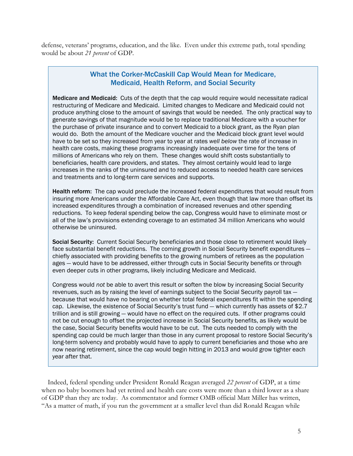defense, veterans' programs, education, and the like. Even under this extreme path, total spending would be about *21 percent* of GDP.

# What the Corker-McCaskill Cap Would Mean for Medicare, Medicaid, Health Reform, and Social Security

Medicare and Medicaid: Cuts of the depth that the cap would require would necessitate radical restructuring of Medicare and Medicaid. Limited changes to Medicare and Medicaid could not produce anything close to the amount of savings that would be needed. The only practical way to generate savings of that magnitude would be to replace traditional Medicare with a voucher for the purchase of private insurance and to convert Medicaid to a block grant, as the Ryan plan would do. Both the amount of the Medicare voucher and the Medicaid block grant level would have to be set so they increased from year to year at rates *well below* the rate of increase in health care costs, making these programs increasingly inadequate over time for the tens of millions of Americans who rely on them. These changes would shift costs substantially to beneficiaries, health care providers, and states. They almost certainly would lead to large increases in the ranks of the uninsured and to reduced access to needed health care services and treatments and to long-term care services and supports.

Health reform: The cap would preclude the increased federal expenditures that would result from insuring more Americans under the Affordable Care Act, even though that law more than offset its increased expenditures through a combination of increased revenues and other spending reductions. To keep federal spending below the cap, Congress would have to eliminate most or all of the law's provisions extending coverage to an estimated 34 million Americans who would otherwise be uninsured.

Social Security: Current Social Security beneficiaries and those close to retirement would likely face substantial benefit reductions. The coming growth in Social Security benefit expenditures chiefly associated with providing benefits to the growing numbers of retirees as the population ages — would have to be addressed, either through cuts in Social Security benefits or through even deeper cuts in other programs, likely including Medicare and Medicaid.

Congress would *not* be able to avert this result or soften the blow by increasing Social Security revenues, such as by raising the level of earnings subject to the Social Security payroll tax because that would have no bearing on whether total federal expenditures fit within the spending cap. Likewise, the existence of Social Security's trust fund — which currently has assets of \$2.7 trillion and is still growing — would have no effect on the required cuts. If other programs could not be cut enough to offset the projected increase in Social Security benefits, as likely would be the case, Social Security benefits would have to be cut. The cuts needed to comply with the spending cap could be much larger than those in any current proposal to restore Social Security's long-term solvency and probably would have to apply to current beneficiaries and those who are now nearing retirement, since the cap would begin hitting in 2013 and would grow tighter each year after that.

 Indeed, federal spending under President Ronald Reagan averaged *22 percent* of GDP, at a time when no baby boomers had yet retired and health care costs were more than a third lower as a share of GDP than they are today. As commentator and former OMB official Matt Miller has written, "As a matter of math, if you run the government at a smaller level than did Ronald Reagan while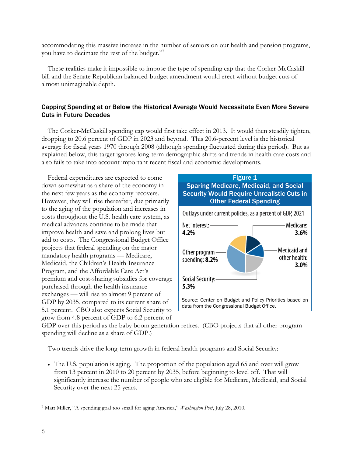accommodating this massive increase in the number of seniors on our health and pension programs, you have to decimate the rest of the budget."<sup>7</sup>

 These realities make it impossible to impose the type of spending cap that the Corker-McCaskill bill and the Senate Republican balanced-budget amendment would erect without budget cuts of almost unimaginable depth.

## Capping Spending at or Below the Historical Average Would Necessitate Even More Severe Cuts in Future Decades

 The Corker-McCaskill spending cap would first take effect in 2013. It would then steadily tighten, dropping to 20.6 percent of GDP in 2023 and beyond. This 20.6-percent level is the historical average for fiscal years 1970 through 2008 (although spending fluctuated during this period). But as explained below, this target ignores long-term demographic shifts and trends in health care costs and also fails to take into account important recent fiscal and economic developments.

 Federal expenditures are expected to come down somewhat as a share of the economy in the next few years as the economy recovers. However, they will rise thereafter, due primarily to the aging of the population and increases in costs throughout the U.S. health care system, as medical advances continue to be made that improve health and save and prolong lives but add to costs. The Congressional Budget Office projects that federal spending on the major mandatory health programs — Medicare, Medicaid, the Children's Health Insurance Program, and the Affordable Care Act's premium and cost-sharing subsidies for coverage purchased through the health insurance exchanges — will rise to almost 9 percent of GDP by 2035, compared to its current share of 5.1 percent. CBO also expects Social Security to grow from 4.8 percent of GDP to 6.2 percent of



GDP over this period as the baby boom generation retires. (CBO projects that all other program spending will decline as a share of GDP.)

Two trends drive the long-term growth in federal health programs and Social Security:

 The U.S. population is aging. The proportion of the population aged 65 and over will grow from 13 percent in 2010 to 20 percent by 2035, before beginning to level off. That will significantly increase the number of people who are eligible for Medicare, Medicaid, and Social Security over the next 25 years.

 $\overline{a}$ 7 Matt Miller, "A spending goal too small for aging America," *Washington Post*, July 28, 2010.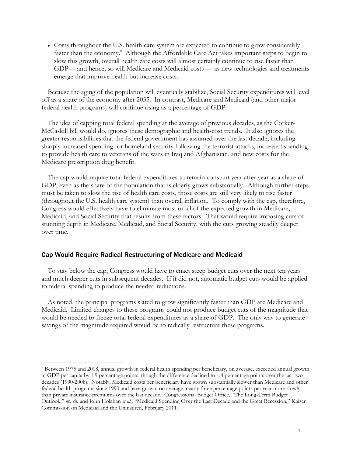Costs throughout the U.S. health care system are expected to continue to grow considerably faster than the economy.<sup>8</sup> Although the Affordable Care Act takes important steps to begin to slow this growth, overall health care costs will almost certainly continue to rise faster than GDP— and hence, so will Medicare and Medicaid costs — as new technologies and treatments emerge that improve health but increase costs.

Because the aging of the population will eventually stabilize, Social Security expenditures will level off as a share of the economy after 2035. In contrast, Medicare and Medicaid (and other major federal health programs) will continue rising as a percentage of GDP.

The idea of capping total federal spending at the average of previous decades, as the Corker-McCaskill bill would do, ignores these demographic and health-cost trends. It also ignores the greater responsibilities that the federal government has assumed over the last decade, including sharply increased spending for homeland security following the terrorist attacks, increased spending to provide health care to veterans of the wars in Iraq and Afghanistan, and new costs for the Medicare prescription drug benefit.

The cap would require total federal expenditures to remain constant year after year as a share of GDP, even as the share of the population that is elderly grows substantially. Although further steps must be taken to slow the rise of health care costs, those costs are still very likely to rise faster (throughout the U.S. health care system) than overall inflation. To comply with the cap, therefore, Congress would effectively have to eliminate most or all of the expected growth in Medicare, Medicaid, and Social Security that results from these factors. That would require imposing cuts of stunning depth in Medicare, Medicaid, and Social Security, with the cuts growing steadily deeper over time.

#### Cap Would Require Radical Restructuring of Medicare and Medicaid

-

To stay below the cap, Congress would have to enact steep budget cuts over the next ten years and much deeper cuts in subsequent decades. If it did not, automatic budget cuts would be applied to federal spending to produce the needed reductions.

As noted, the principal programs slated to grow significantly faster than GDP are Medicare and Medicaid. Limited changes to these programs could not produce budget cuts of the magnitude that would be needed to freeze total federal expenditures as a share of GDP. The only way to generate savings of the magnitude required would be to radically restructure these programs.

<sup>8</sup> Between 1975 and 2008, annual growth in federal health spending per beneficiary, on average, exceeded annual growth in GDP per capita by 1.9 percentage points, though the difference declined to 1.4 percentage points over the last two decades (1990-2008). Notably, Medicaid costs per beneficiary have grown substantially slower than Medicare and other federal health programs since 1990 and have grown, on average, nearly three percentage points per year more slowly than private insurance premiums over the last decade. Congressional Budget Office, "The Long-Term Budget Outlook," *op. cit.* and John Holahan *et al.,* "Medicaid Spending Over the Last Decade and the Great Recession," Kaiser Commission on Medicaid and the Uninsured, February 2011.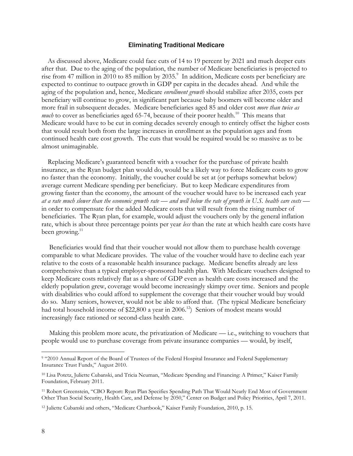#### Eliminating Traditional Medicare

As discussed above, Medicare could face cuts of 14 to 19 percent by 2021 and much deeper cuts after that. Due to the aging of the population, the number of Medicare beneficiaries is projected to rise from 47 million in 2010 to 85 million by 2035.<sup>9</sup> In addition, Medicare costs per beneficiary are expected to continue to outpace growth in GDP per capita in the decades ahead. And while the aging of the population and, hence, Medicare *enrollment growth* should stabilize after 2035, costs per beneficiary will continue to grow, in significant part because baby boomers will become older and more frail in subsequent decades. Medicare beneficiaries aged 85 and older cost *more than twice as much* to cover as beneficiaries aged 65-74, because of their poorer health.<sup>10</sup> This means that Medicare would have to be cut in coming decades severely enough to entirely offset the higher costs that would result both from the large increases in enrollment as the population ages and from continued health care cost growth. The cuts that would be required would be so massive as to be almost unimaginable.

Replacing Medicare's guaranteed benefit with a voucher for the purchase of private health insurance, as the Ryan budget plan would do, would be a likely way to force Medicare costs to grow no faster than the economy. Initially, the voucher could be set at (or perhaps somewhat below) average current Medicare spending per beneficiary. But to keep Medicare expenditures from growing faster than the economy, the amount of the voucher would have to be increased each year *at a rate much slower than the economic growth rate — and well below the rate of growth in U.S. health care costs*  in order to compensate for the added Medicare costs that will result from the rising number of beneficiaries. The Ryan plan, for example, would adjust the vouchers only by the general inflation rate, which is about three percentage points per year *less* than the rate at which health care costs have been growing. $11$ 

Beneficiaries would find that their voucher would not allow them to purchase health coverage comparable to what Medicare provides. The value of the voucher would have to decline each year relative to the costs of a reasonable health insurance package. Medicare benefits already are less comprehensive than a typical employer-sponsored health plan. With Medicare vouchers designed to keep Medicare costs relatively flat as a share of GDP even as health care costs increased and the elderly population grew, coverage would become increasingly skimpy over time. Seniors and people with disabilities who could afford to supplement the coverage that their voucher would buy would do so. Many seniors, however, would not be able to afford that. (The typical Medicare beneficiary had total household income of \$22,800 a year in 2006.<sup>12</sup>) Seniors of modest means would increasingly face rationed or second-class health care.

Making this problem more acute, the privatization of Medicare — i.e., switching to vouchers that people would use to purchase coverage from private insurance companies — would, by itself,

-

<sup>9 &</sup>quot;2010 Annual Report of the Board of Trustees of the Federal Hospital Insurance and Federal Supplementary Insurance Trust Funds," August 2010.

<sup>10</sup> Lisa Potetz, Juliette Cubanski, and Tricia Neuman, "Medicare Spending and Financing: A Primer," Kaiser Family Foundation, February 2011.

<sup>11</sup> Robert Greenstein, "CBO Report: Ryan Plan Specifies Spending Path That Would Nearly End Most of Government Other Than Social Security, Health Care, and Defense by 2050," Center on Budget and Policy Priorities, April 7, 2011.

<sup>12</sup> Juliette Cubanski and others, "Medicare Chartbook," Kaiser Family Foundation, 2010, p. 15.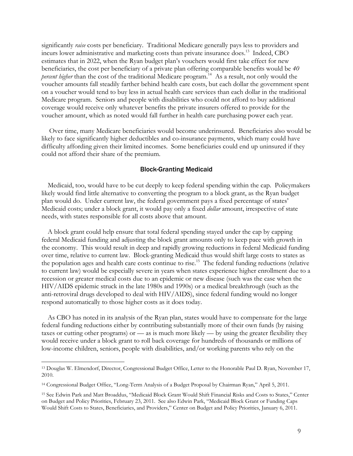significantly *raise* costs per beneficiary. Traditional Medicare generally pays less to providers and incurs lower administrative and marketing costs than private insurance does.13 Indeed, CBO estimates that in 2022, when the Ryan budget plan's vouchers would first take effect for new beneficiaries, the cost per beneficiary of a private plan offering comparable benefits would be *40 percent higher* than the cost of the traditional Medicare program.<sup>14</sup> As a result, not only would the voucher amounts fall steadily farther behind health care costs, but each dollar the government spent on a voucher would tend to buy less in actual health care services than each dollar in the traditional Medicare program. Seniors and people with disabilities who could not afford to buy additional coverage would receive only whatever benefits the private insurers offered to provide for the voucher amount, which as noted would fall further in health care purchasing power each year.

Over time, many Medicare beneficiaries would become underinsured. Beneficiaries also would be likely to face significantly higher deductibles and co-insurance payments, which many could have difficulty affording given their limited incomes. Some beneficiaries could end up uninsured if they could not afford their share of the premium.

#### Block-Granting Medicaid

Medicaid, too, would have to be cut deeply to keep federal spending within the cap. Policymakers likely would find little alternative to converting the program to a block grant, as the Ryan budget plan would do. Under current law, the federal government pays a fixed percentage of states' Medicaid costs; under a block grant, it would pay only a fixed *dollar* amount, irrespective of state needs, with states responsible for all costs above that amount.

A block grant could help ensure that total federal spending stayed under the cap by capping federal Medicaid funding and adjusting the block grant amounts only to keep pace with growth in the economy. This would result in deep and rapidly growing reductions in federal Medicaid funding over time, relative to current law. Block-granting Medicaid thus would shift large costs to states as the population ages and health care costs continue to rise.15 The federal funding reductions (relative to current law) would be especially severe in years when states experience higher enrollment due to a recession or greater medical costs due to an epidemic or new disease (such was the case when the HIV/AIDS epidemic struck in the late 1980s and 1990s) or a medical breakthrough (such as the anti-retroviral drugs developed to deal with HIV/AIDS), since federal funding would no longer respond automatically to those higher costs as it does today.

As CBO has noted in its analysis of the Ryan plan, states would have to compensate for the large federal funding reductions either by contributing substantially more of their own funds (by raising taxes or cutting other programs) or — as is much more likely — by using the greater flexibility they would receive under a block grant to roll back coverage for hundreds of thousands or millions of low-income children, seniors, people with disabilities, and/or working parents who rely on the

<sup>13</sup> Douglas W. Elmendorf, Director, Congressional Budget Office, Letter to the Honorable Paul D. Ryan, November 17, 2010.

<sup>14</sup> Congressional Budget Office, "Long-Term Analysis of a Budget Proposal by Chairman Ryan," April 5, 2011.

<sup>15</sup> See Edwin Park and Matt Broaddus, "Medicaid Block Grant Would Shift Financial Risks and Costs to States," Center on Budget and Policy Priorities, February 23, 2011. See also Edwin Park, "Medicaid Block Grant or Funding Caps Would Shift Costs to States, Beneficiaries, and Providers," Center on Budget and Policy Priorities, January 6, 2011.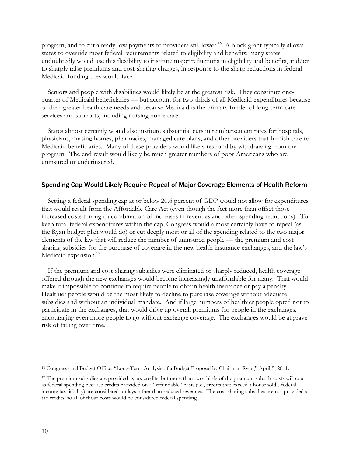program, and to cut already-low payments to providers still lower.<sup>16</sup> A block grant typically allows states to override most federal requirements related to eligibility and benefits; many states undoubtedly would use this flexibility to institute major reductions in eligibility and benefits, and/or to sharply raise premiums and cost-sharing charges, in response to the sharp reductions in federal Medicaid funding they would face.

Seniors and people with disabilities would likely be at the greatest risk. They constitute onequarter of Medicaid beneficiaries — but account for two-thirds of all Medicaid expenditures because of their greater health care needs and because Medicaid is the primary funder of long-term care services and supports, including nursing home care.

States almost certainly would also institute substantial cuts in reimbursement rates for hospitals, physicians, nursing homes, pharmacies, managed care plans, and other providers that furnish care to Medicaid beneficiaries. Many of these providers would likely respond by withdrawing from the program. The end result would likely be much greater numbers of poor Americans who are uninsured or underinsured.

#### Spending Cap Would Likely Require Repeal of Major Coverage Elements of Health Reform

Setting a federal spending cap at or below 20.6 percent of GDP would not allow for expenditures that would result from the Affordable Care Act (even though the Act more than offset those increased costs through a combination of increases in revenues and other spending reductions). To keep total federal expenditures within the cap, Congress would almost certainly have to repeal (as the Ryan budget plan would do) or cut deeply most or all of the spending related to the two major elements of the law that will reduce the number of uninsured people — the premium and costsharing subsidies for the purchase of coverage in the new health insurance exchanges, and the law's Medicaid expansion.<sup>17</sup>

If the premium and cost-sharing subsidies were eliminated or sharply reduced, health coverage offered through the new exchanges would become increasingly unaffordable for many. That would make it impossible to continue to require people to obtain health insurance or pay a penalty. Healthier people would be the most likely to decline to purchase coverage without adequate subsidies and without an individual mandate. And if large numbers of healthier people opted not to participate in the exchanges, that would drive up overall premiums for people in the exchanges, encouraging even more people to go without exchange coverage. The exchanges would be at grave risk of failing over time.

<sup>16</sup> Congressional Budget Office, "Long-Term Analysis of a Budget Proposal by Chairman Ryan," April 5, 2011.

<sup>&</sup>lt;sup>17</sup> The premium subsidies are provided as tax credits, but more than two-thirds of the premium subsidy costs will count as federal spending because credits provided on a "refundable" basis (i.e., credits that exceed a household's federal income tax liability) are considered outlays rather than reduced revenues. The cost-sharing subsidies are not provided as tax credits, so all of those costs would be considered federal spending.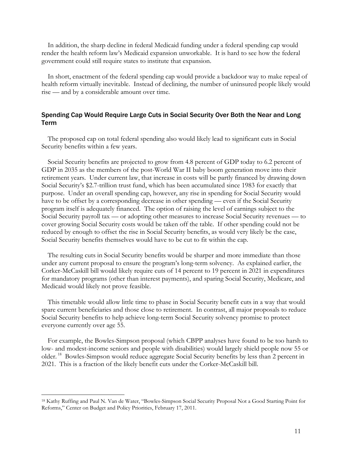In addition, the sharp decline in federal Medicaid funding under a federal spending cap would render the health reform law's Medicaid expansion unworkable. It is hard to see how the federal government could still require states to institute that expansion.

In short, enactment of the federal spending cap would provide a backdoor way to make repeal of health reform virtually inevitable. Instead of declining, the number of uninsured people likely would rise — and by a considerable amount over time.

## Spending Cap Would Require Large Cuts in Social Security Over Both the Near and Long Term

The proposed cap on total federal spending also would likely lead to significant cuts in Social Security benefits within a few years.

Social Security benefits are projected to grow from 4.8 percent of GDP today to 6.2 percent of GDP in 2035 as the members of the post-World War II baby boom generation move into their retirement years. Under current law, that increase in costs will be partly financed by drawing down Social Security's \$2.7-trillion trust fund, which has been accumulated since 1983 for exactly that purpose. Under an overall spending cap, however, any rise in spending for Social Security would have to be offset by a corresponding decrease in other spending — even if the Social Security program itself is adequately financed. The option of raising the level of earnings subject to the Social Security payroll tax — or adopting other measures to increase Social Security revenues — to cover growing Social Security costs would be taken off the table. If other spending could not be reduced by enough to offset the rise in Social Security benefits, as would very likely be the case, Social Security benefits themselves would have to be cut to fit within the cap.

The resulting cuts in Social Security benefits would be sharper and more immediate than those under any current proposal to ensure the program's long-term solvency. As explained earlier, the Corker-McCaskill bill would likely require cuts of 14 percent to 19 percent in 2021 in expenditures for mandatory programs (other than interest payments), and sparing Social Security, Medicare, and Medicaid would likely not prove feasible.

This timetable would allow little time to phase in Social Security benefit cuts in a way that would spare current beneficiaries and those close to retirement. In contrast, all major proposals to reduce Social Security benefits to help achieve long-term Social Security solvency promise to protect everyone currently over age 55.

For example, the Bowles-Simpson proposal (which CBPP analyses have found to be too harsh to low- and modest-income seniors and people with disabilities) would largely shield people now 55 or older. 18 Bowles-Simpson would reduce aggregate Social Security benefits by less than 2 percent in 2021. This is a fraction of the likely benefit cuts under the Corker-McCaskill bill.

<sup>18</sup> Kathy Ruffing and Paul N. Van de Water, "Bowles-Simpson Social Security Proposal Not a Good Starting Point for Reforms," Center on Budget and Policy Priorities, February 17, 2011.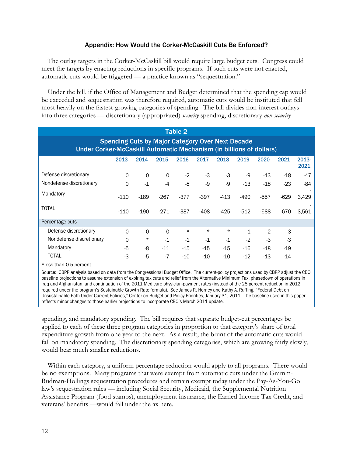## Appendix: How Would the Corker-McCaskill Cuts Be Enforced?

The outlay targets in the Corker-McCaskill bill would require large budget cuts. Congress could meet the targets by enacting reductions in specific programs. If such cuts were not enacted, automatic cuts would be triggered — a practice known as "sequestration."

Under the bill, if the Office of Management and Budget determined that the spending cap would be exceeded and sequestration was therefore required, automatic cuts would be instituted that fell most heavily on the fastest-growing categories of spending. The bill divides non-interest outlays into three categories — discretionary (appropriated) *security* spending, discretionary *non-security*

| <b>Table 2</b>                                                                                                                 |          |          |          |          |          |          |        |        |        |               |  |  |
|--------------------------------------------------------------------------------------------------------------------------------|----------|----------|----------|----------|----------|----------|--------|--------|--------|---------------|--|--|
| <b>Spending Cuts by Major Category Over Next Decade</b><br>Under Corker-McCaskill Automatic Mechanism (in billions of dollars) |          |          |          |          |          |          |        |        |        |               |  |  |
|                                                                                                                                | 2013     | 2014     | 2015     | 2016     | 2017     | 2018     | 2019   | 2020   | 2021   | 2013-<br>2021 |  |  |
| Defense discretionary                                                                                                          | $\Omega$ | $\Omega$ | 0        | $-2$     | $-3$     | -3       | -9     | $-13$  | $-18$  | $-47$         |  |  |
| Nondefense discretionary                                                                                                       | $\Omega$ | $-1$     | -4       | -8       | -9       | -9       | $-13$  | $-18$  | $-23$  | -84           |  |  |
| Mandatory                                                                                                                      | $-110$   | $-189$   | $-267$   | $-377$   | $-397$   | $-413$   | -490   | $-557$ | $-629$ | 3,429         |  |  |
| <b>TOTAL</b>                                                                                                                   | -110     | $-190$   | $-271$   | $-387$   | $-408$   | $-425$   | $-512$ | $-588$ | -670   | 3,561         |  |  |
| Percentage cuts                                                                                                                |          |          |          |          |          |          |        |        |        |               |  |  |
| Defense discretionary                                                                                                          | $\Omega$ | $\Omega$ | $\Omega$ | $^\star$ | $^\star$ | $^\star$ | $-1$   | $-2$   | $-3$   |               |  |  |
| Nondefense discretionary                                                                                                       | $\Omega$ | $^\star$ | $-1$     | $-1$     | $-1$     | $-1$     | $-2$   | -3     | $-3$   |               |  |  |
| Mandatory                                                                                                                      | -5       | -8       | $-11$    | $-15$    | $-15$    | $-15$    | $-16$  | $-18$  | $-19$  |               |  |  |
| TOTAL                                                                                                                          | -3       | -5       | $-7$     | -10      | $-10$    | $-10$    | $-12$  | $-13$  | $-14$  |               |  |  |

\*less than 0.5 percent.

Source: CBPP analysis based on data from the Congressional Budget Office. The current-policy projections used by CBPP adjust the CBO baseline projections to assume extension of expiring tax cuts and relief from the Alternative Minimum Tax, phasedown of operations in Iraq and Afghanistan, and continuation of the 2011 Medicare physician-payment rates (instead of the 28 percent reduction in 2012 required under the program's Sustainable Growth Rate formula). See James R. Horney and Kathy A. Ruffing, "Federal Debt on Unsustainable Path Under Current Policies," Center on Budget and Policy Priorities, January 31, 2011. The baseline used in this paper reflects minor changes to those earlier projections to incorporate CBO's March 2011 update.

spending, and mandatory spending. The bill requires that separate budget-cut percentages be applied to each of these three program categories in proportion to that category's share of total expenditure growth from one year to the next. As a result, the brunt of the automatic cuts would fall on mandatory spending. The discretionary spending categories, which are growing fairly slowly, would bear much smaller reductions.

Within each category, a uniform percentage reduction would apply to all programs. There would be no exemptions. Many programs that were exempt from automatic cuts under the Gramm-Rudman-Hollings sequestration procedures and remain exempt today under the Pay-As-You-Go law's sequestration rules — including Social Security, Medicaid, the Supplemental Nutrition Assistance Program (food stamps), unemployment insurance, the Earned Income Tax Credit, and veterans' benefits —would fall under the ax here.